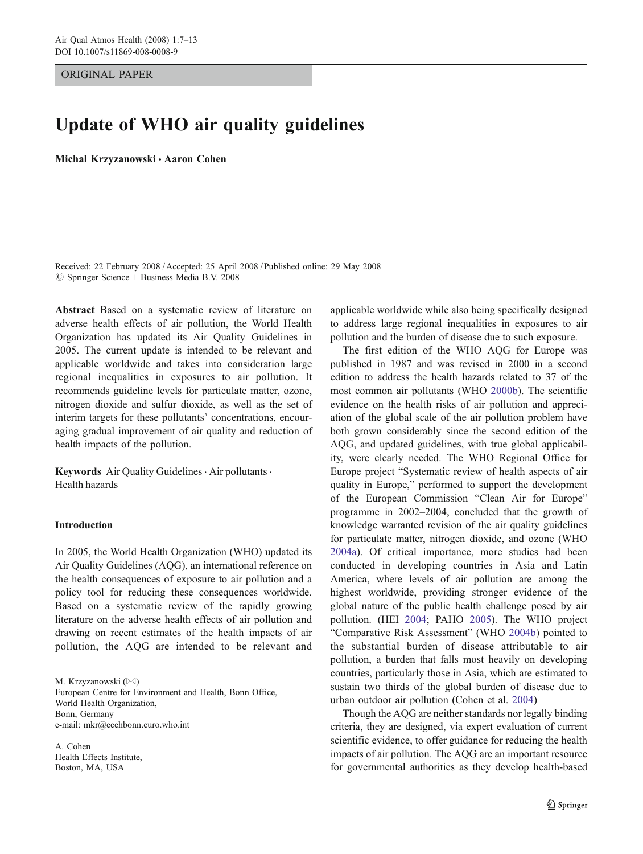ORIGINAL PAPER

# Update of WHO air quality guidelines

Michal Krzyzanowski *&* Aaron Cohen

Received: 22 February 2008 /Accepted: 25 April 2008 / Published online: 29 May 2008  $\oslash$  Springer Science + Business Media B.V. 2008

Abstract Based on a systematic review of literature on adverse health effects of air pollution, the World Health Organization has updated its Air Quality Guidelines in 2005. The current update is intended to be relevant and applicable worldwide and takes into consideration large regional inequalities in exposures to air pollution. It recommends guideline levels for particulate matter, ozone, nitrogen dioxide and sulfur dioxide, as well as the set of interim targets for these pollutants' concentrations, encouraging gradual improvement of air quality and reduction of health impacts of the pollution.

Keywords Air Quality Guidelines . Air pollutants . Health hazards

### Introduction

In 2005, the World Health Organization (WHO) updated its Air Quality Guidelines (AQG), an international reference on the health consequences of exposure to air pollution and a policy tool for reducing these consequences worldwide. Based on a systematic review of the rapidly growing literature on the adverse health effects of air pollution and drawing on recent estimates of the health impacts of air pollution, the AQG are intended to be relevant and

M. Krzyzanowski (*\**) European Centre for Environment and Health, Bonn Office, World Health Organization, Bonn, Germany e-mail: mkr@ecehbonn.euro.who.int

A. Cohen Health Effects Institute, Boston, MA, USA

applicable worldwide while also being specifically designed to address large regional inequalities in exposures to air pollution and the burden of disease due to such exposure.

The first edition of the WHO AQG for Europe was published in 1987 and was revised in 2000 in a second edition to address the health hazards related to 37 of the most common air pollutants (WHO [2000b\)](#page-6-0). The scientific evidence on the health risks of air pollution and appreciation of the global scale of the air pollution problem have both grown considerably since the second edition of the AQG, and updated guidelines, with true global applicability, were clearly needed. The WHO Regional Office for Europe project "Systematic review of health aspects of air quality in Europe," performed to support the development of the European Commission "Clean Air for Europe" programme in 2002–2004, concluded that the growth of knowledge warranted revision of the air quality guidelines for particulate matter, nitrogen dioxide, and ozone (WHO [2004a](#page-6-0)). Of critical importance, more studies had been conducted in developing countries in Asia and Latin America, where levels of air pollution are among the highest worldwide, providing stronger evidence of the global nature of the public health challenge posed by air pollution. (HEI [2004](#page-5-0); PAHO [2005](#page-6-0)). The WHO project "Comparative Risk Assessment" (WHO [2004b\)](#page-6-0) pointed to the substantial burden of disease attributable to air pollution, a burden that falls most heavily on developing countries, particularly those in Asia, which are estimated to sustain two thirds of the global burden of disease due to urban outdoor air pollution (Cohen et al. [2004](#page-5-0))

Though the AQG are neither standards nor legally binding criteria, they are designed, via expert evaluation of current scientific evidence, to offer guidance for reducing the health impacts of air pollution. The AQG are an important resource for governmental authorities as they develop health-based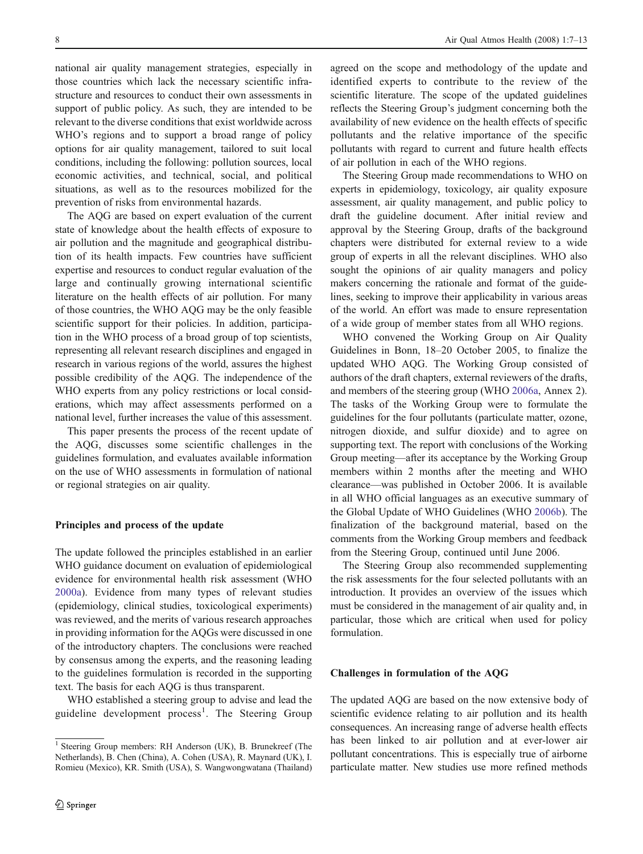national air quality management strategies, especially in those countries which lack the necessary scientific infrastructure and resources to conduct their own assessments in support of public policy. As such, they are intended to be relevant to the diverse conditions that exist worldwide across WHO's regions and to support a broad range of policy options for air quality management, tailored to suit local conditions, including the following: pollution sources, local economic activities, and technical, social, and political situations, as well as to the resources mobilized for the prevention of risks from environmental hazards.

The AQG are based on expert evaluation of the current state of knowledge about the health effects of exposure to air pollution and the magnitude and geographical distribution of its health impacts. Few countries have sufficient expertise and resources to conduct regular evaluation of the large and continually growing international scientific literature on the health effects of air pollution. For many of those countries, the WHO AQG may be the only feasible scientific support for their policies. In addition, participation in the WHO process of a broad group of top scientists, representing all relevant research disciplines and engaged in research in various regions of the world, assures the highest possible credibility of the AQG. The independence of the WHO experts from any policy restrictions or local considerations, which may affect assessments performed on a national level, further increases the value of this assessment.

This paper presents the process of the recent update of the AQG, discusses some scientific challenges in the guidelines formulation, and evaluates available information on the use of WHO assessments in formulation of national or regional strategies on air quality.

#### Principles and process of the update

The update followed the principles established in an earlier WHO guidance document on evaluation of epidemiological evidence for environmental health risk assessment (WHO [2000a\)](#page-6-0). Evidence from many types of relevant studies (epidemiology, clinical studies, toxicological experiments) was reviewed, and the merits of various research approaches in providing information for the AQGs were discussed in one of the introductory chapters. The conclusions were reached by consensus among the experts, and the reasoning leading to the guidelines formulation is recorded in the supporting text. The basis for each AQG is thus transparent.

WHO established a steering group to advise and lead the guideline development process<sup>1</sup>. The Steering Group

agreed on the scope and methodology of the update and identified experts to contribute to the review of the scientific literature. The scope of the updated guidelines reflects the Steering Group's judgment concerning both the availability of new evidence on the health effects of specific pollutants and the relative importance of the specific pollutants with regard to current and future health effects of air pollution in each of the WHO regions.

The Steering Group made recommendations to WHO on experts in epidemiology, toxicology, air quality exposure assessment, air quality management, and public policy to draft the guideline document. After initial review and approval by the Steering Group, drafts of the background chapters were distributed for external review to a wide group of experts in all the relevant disciplines. WHO also sought the opinions of air quality managers and policy makers concerning the rationale and format of the guidelines, seeking to improve their applicability in various areas of the world. An effort was made to ensure representation of a wide group of member states from all WHO regions.

WHO convened the Working Group on Air Quality Guidelines in Bonn, 18–20 October 2005, to finalize the updated WHO AQG. The Working Group consisted of authors of the draft chapters, external reviewers of the drafts, and members of the steering group (WHO [2006a,](#page-6-0) Annex 2). The tasks of the Working Group were to formulate the guidelines for the four pollutants (particulate matter, ozone, nitrogen dioxide, and sulfur dioxide) and to agree on supporting text. The report with conclusions of the Working Group meeting—after its acceptance by the Working Group members within 2 months after the meeting and WHO clearance—was published in October 2006. It is available in all WHO official languages as an executive summary of the Global Update of WHO Guidelines (WHO [2006b](#page-6-0)). The finalization of the background material, based on the comments from the Working Group members and feedback from the Steering Group, continued until June 2006.

The Steering Group also recommended supplementing the risk assessments for the four selected pollutants with an introduction. It provides an overview of the issues which must be considered in the management of air quality and, in particular, those which are critical when used for policy formulation.

#### Challenges in formulation of the AQG

The updated AQG are based on the now extensive body of scientific evidence relating to air pollution and its health consequences. An increasing range of adverse health effects has been linked to air pollution and at ever-lower air pollutant concentrations. This is especially true of airborne particulate matter. New studies use more refined methods

<sup>&</sup>lt;sup>1</sup> Steering Group members: RH Anderson (UK), B. Brunekreef (The Netherlands), B. Chen (China), A. Cohen (USA), R. Maynard (UK), I. Romieu (Mexico), KR. Smith (USA), S. Wangwongwatana (Thailand)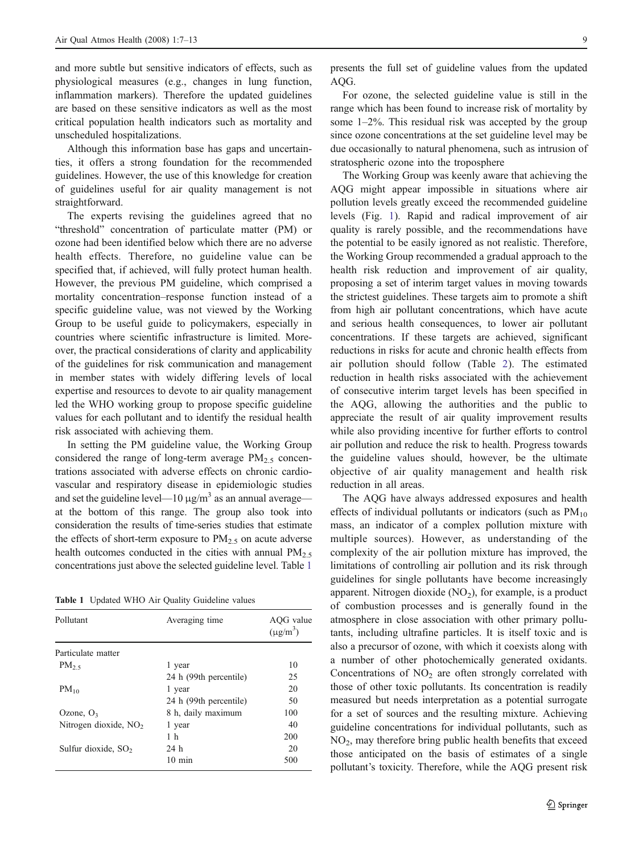and more subtle but sensitive indicators of effects, such as physiological measures (e.g., changes in lung function, inflammation markers). Therefore the updated guidelines are based on these sensitive indicators as well as the most critical population health indicators such as mortality and unscheduled hospitalizations.

Although this information base has gaps and uncertainties, it offers a strong foundation for the recommended guidelines. However, the use of this knowledge for creation of guidelines useful for air quality management is not straightforward.

The experts revising the guidelines agreed that no "threshold" concentration of particulate matter (PM) or ozone had been identified below which there are no adverse health effects. Therefore, no guideline value can be specified that, if achieved, will fully protect human health. However, the previous PM guideline, which comprised a mortality concentration–response function instead of a specific guideline value, was not viewed by the Working Group to be useful guide to policymakers, especially in countries where scientific infrastructure is limited. Moreover, the practical considerations of clarity and applicability of the guidelines for risk communication and management in member states with widely differing levels of local expertise and resources to devote to air quality management led the WHO working group to propose specific guideline values for each pollutant and to identify the residual health risk associated with achieving them.

In setting the PM guideline value, the Working Group considered the range of long-term average  $PM_{2.5}$  concentrations associated with adverse effects on chronic cardiovascular and respiratory disease in epidemiologic studies and set the guideline level—10  $\mu$ g/m<sup>3</sup> as an annual average at the bottom of this range. The group also took into consideration the results of time-series studies that estimate the effects of short-term exposure to  $PM_{2.5}$  on acute adverse health outcomes conducted in the cities with annual  $PM<sub>2.5</sub>$ concentrations just above the selected guideline level. Table 1

Table 1 Updated WHO Air Quality Guideline values

| Pollutant                         | Averaging time         | AOG value<br>$(\mu g/m^3)$ |
|-----------------------------------|------------------------|----------------------------|
| Particulate matter                |                        |                            |
| $PM_2$                            | 1 year                 | 10                         |
|                                   | 24 h (99th percentile) | 25                         |
| $PM_{10}$                         | 1 year                 | 20                         |
|                                   | 24 h (99th percentile) | 50                         |
| Ozone, $O_3$                      | 8 h, daily maximum     | 100                        |
| Nitrogen dioxide, NO <sub>2</sub> | 1 year                 | 40                         |
|                                   | 1 h                    | 200                        |
| Sulfur dioxide, SO <sub>2</sub>   | 24 h                   | 20                         |
|                                   | $10 \text{ min}$       | 500                        |

presents the full set of guideline values from the updated AQG.

For ozone, the selected guideline value is still in the range which has been found to increase risk of mortality by some 1–2%. This residual risk was accepted by the group since ozone concentrations at the set guideline level may be due occasionally to natural phenomena, such as intrusion of stratospheric ozone into the troposphere

The Working Group was keenly aware that achieving the AQG might appear impossible in situations where air pollution levels greatly exceed the recommended guideline levels (Fig. [1](#page-3-0)). Rapid and radical improvement of air quality is rarely possible, and the recommendations have the potential to be easily ignored as not realistic. Therefore, the Working Group recommended a gradual approach to the health risk reduction and improvement of air quality, proposing a set of interim target values in moving towards the strictest guidelines. These targets aim to promote a shift from high air pollutant concentrations, which have acute and serious health consequences, to lower air pollutant concentrations. If these targets are achieved, significant reductions in risks for acute and chronic health effects from air pollution should follow (Table [2\)](#page-3-0). The estimated reduction in health risks associated with the achievement of consecutive interim target levels has been specified in the AQG, allowing the authorities and the public to appreciate the result of air quality improvement results while also providing incentive for further efforts to control air pollution and reduce the risk to health. Progress towards the guideline values should, however, be the ultimate objective of air quality management and health risk reduction in all areas.

The AQG have always addressed exposures and health effects of individual pollutants or indicators (such as  $PM_{10}$ ) mass, an indicator of a complex pollution mixture with multiple sources). However, as understanding of the complexity of the air pollution mixture has improved, the limitations of controlling air pollution and its risk through guidelines for single pollutants have become increasingly apparent. Nitrogen dioxide  $(NO<sub>2</sub>)$ , for example, is a product of combustion processes and is generally found in the atmosphere in close association with other primary pollutants, including ultrafine particles. It is itself toxic and is also a precursor of ozone, with which it coexists along with a number of other photochemically generated oxidants. Concentrations of  $NO<sub>2</sub>$  are often strongly correlated with those of other toxic pollutants. Its concentration is readily measured but needs interpretation as a potential surrogate for a set of sources and the resulting mixture. Achieving guideline concentrations for individual pollutants, such as NO2, may therefore bring public health benefits that exceed those anticipated on the basis of estimates of a single pollutant's toxicity. Therefore, while the AQG present risk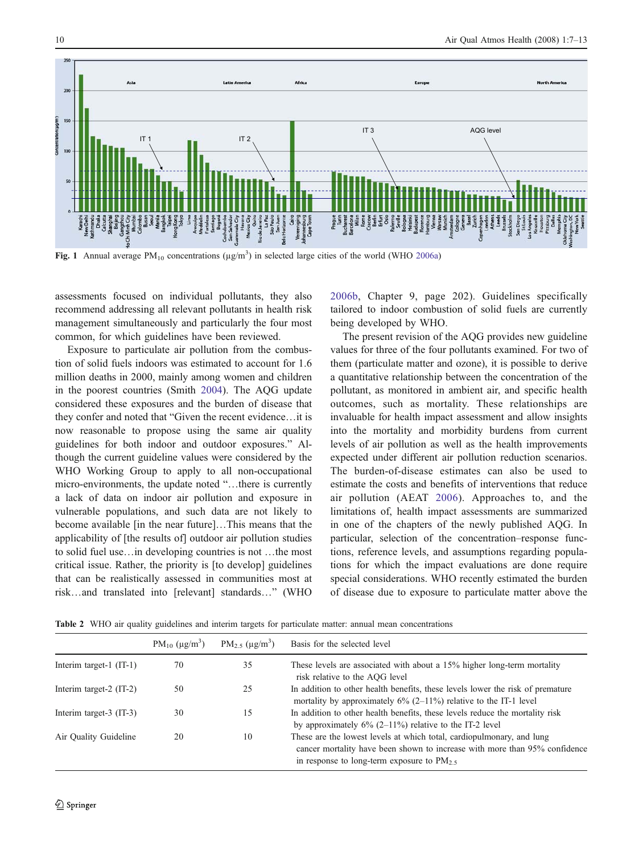<span id="page-3-0"></span>

Fig. 1 Annual average  $PM_{10}$  concentrations ( $\mu\text{g/m}^3$ ) in selected large cities of the world (WHO [2006a](#page-6-0))

assessments focused on individual pollutants, they also recommend addressing all relevant pollutants in health risk management simultaneously and particularly the four most common, for which guidelines have been reviewed.

Exposure to particulate air pollution from the combustion of solid fuels indoors was estimated to account for 1.6 million deaths in 2000, mainly among women and children in the poorest countries (Smith [2004](#page-6-0)). The AQG update considered these exposures and the burden of disease that they confer and noted that "Given the recent evidence…it is now reasonable to propose using the same air quality guidelines for both indoor and outdoor exposures." Although the current guideline values were considered by the WHO Working Group to apply to all non-occupational micro-environments, the update noted "…there is currently a lack of data on indoor air pollution and exposure in vulnerable populations, and such data are not likely to become available [in the near future]…This means that the applicability of [the results of] outdoor air pollution studies to solid fuel use…in developing countries is not …the most critical issue. Rather, the priority is [to develop] guidelines that can be realistically assessed in communities most at risk…and translated into [relevant] standards…" (WHO [2006b,](#page-6-0) Chapter 9, page 202). Guidelines specifically tailored to indoor combustion of solid fuels are currently being developed by WHO.

The present revision of the AQG provides new guideline values for three of the four pollutants examined. For two of them (particulate matter and ozone), it is possible to derive a quantitative relationship between the concentration of the pollutant, as monitored in ambient air, and specific health outcomes, such as mortality. These relationships are invaluable for health impact assessment and allow insights into the mortality and morbidity burdens from current levels of air pollution as well as the health improvements expected under different air pollution reduction scenarios. The burden-of-disease estimates can also be used to estimate the costs and benefits of interventions that reduce air pollution (AEAT [2006\)](#page-5-0). Approaches to, and the limitations of, health impact assessments are summarized in one of the chapters of the newly published AQG. In particular, selection of the concentration–response functions, reference levels, and assumptions regarding populations for which the impact evaluations are done require special considerations. WHO recently estimated the burden of disease due to exposure to particulate matter above the

Table 2 WHO air quality guidelines and interim targets for particulate matter: annual mean concentrations

|                                | $PM_{10} (\mu g/m^3)$ | $PM_{2.5}$ (µg/m <sup>3</sup> ) | Basis for the selected level                                                                                                                                                                         |
|--------------------------------|-----------------------|---------------------------------|------------------------------------------------------------------------------------------------------------------------------------------------------------------------------------------------------|
| Interim target-1 $(IT-1)$      | 70                    | 35                              | These levels are associated with about a 15% higher long-term mortality<br>risk relative to the AOG level                                                                                            |
| Interim target- $2$ (IT- $2$ ) | 50                    | 25                              | In addition to other health benefits, these levels lower the risk of premature<br>mortality by approximately $6\%$ (2–11%) relative to the IT-1 level                                                |
| Interim target-3 (IT-3)        | 30                    | 15                              | In addition to other health benefits, these levels reduce the mortality risk<br>by approximately $6\%$ (2–11%) relative to the IT-2 level                                                            |
| Air Quality Guideline          | 20                    | 10                              | These are the lowest levels at which total, cardiopulmonary, and lung<br>cancer mortality have been shown to increase with more than 95% confidence<br>in response to long-term exposure to $PM_2$ , |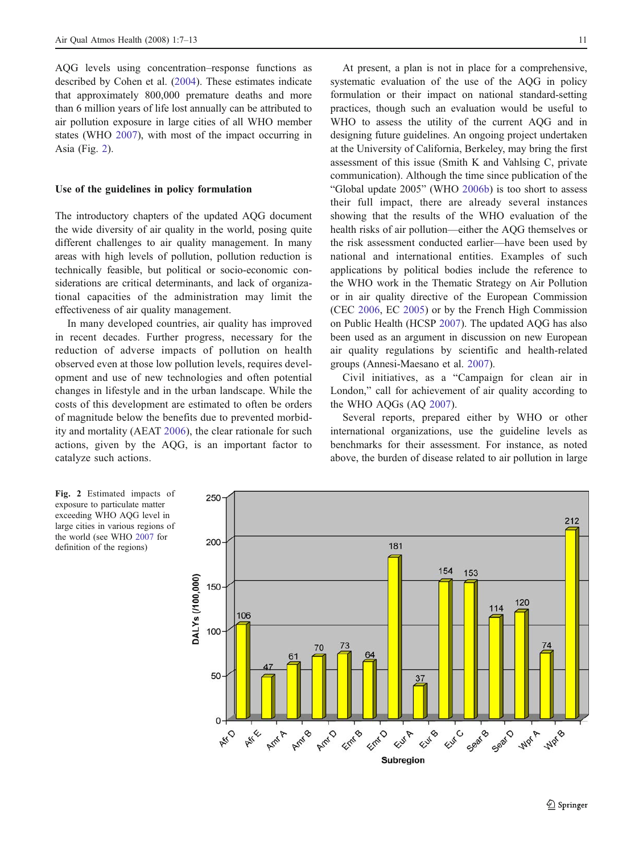AQG levels using concentration–response functions as described by Cohen et al. ([2004\)](#page-5-0). These estimates indicate that approximately 800,000 premature deaths and more than 6 million years of life lost annually can be attributed to air pollution exposure in large cities of all WHO member states (WHO [2007](#page-6-0)), with most of the impact occurring in Asia (Fig. 2).

#### Use of the guidelines in policy formulation

The introductory chapters of the updated AQG document the wide diversity of air quality in the world, posing quite different challenges to air quality management. In many areas with high levels of pollution, pollution reduction is technically feasible, but political or socio-economic considerations are critical determinants, and lack of organizational capacities of the administration may limit the effectiveness of air quality management.

In many developed countries, air quality has improved in recent decades. Further progress, necessary for the reduction of adverse impacts of pollution on health observed even at those low pollution levels, requires development and use of new technologies and often potential changes in lifestyle and in the urban landscape. While the costs of this development are estimated to often be orders of magnitude below the benefits due to prevented morbidity and mortality (AEAT [2006](#page-5-0)), the clear rationale for such actions, given by the AQG, is an important factor to catalyze such actions.

At present, a plan is not in place for a comprehensive, systematic evaluation of the use of the AQG in policy formulation or their impact on national standard-setting practices, though such an evaluation would be useful to WHO to assess the utility of the current AQG and in designing future guidelines. An ongoing project undertaken at the University of California, Berkeley, may bring the first assessment of this issue (Smith K and Vahlsing C, private communication). Although the time since publication of the "Global update 2005" (WHO [2006b](#page-6-0)) is too short to assess their full impact, there are already several instances showing that the results of the WHO evaluation of the health risks of air pollution—either the AQG themselves or the risk assessment conducted earlier—have been used by national and international entities. Examples of such applications by political bodies include the reference to the WHO work in the Thematic Strategy on Air Pollution or in air quality directive of the European Commission (CEC [2006,](#page-5-0) EC [2005\)](#page-5-0) or by the French High Commission on Public Health (HCSP [2007](#page-5-0)). The updated AQG has also been used as an argument in discussion on new European air quality regulations by scientific and health-related groups (Annesi-Maesano et al. [2007](#page-5-0)).

Civil initiatives, as a "Campaign for clean air in London," call for achievement of air quality according to the WHO AQGs (AQ [2007\)](#page-5-0).

Several reports, prepared either by WHO or other international organizations, use the guideline levels as benchmarks for their assessment. For instance, as noted above, the burden of disease related to air pollution in large

Fig. 2 Estimated impacts of exposure to particulate matter exceeding WHO AQG level in large cities in various regions of the world (see WHO [2007](#page-6-0) for definition of the regions)

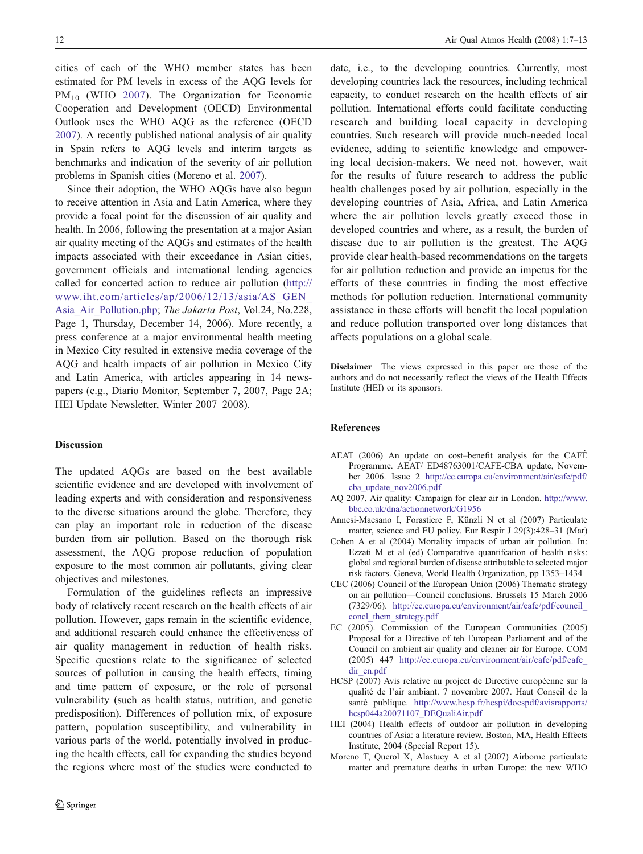<span id="page-5-0"></span>cities of each of the WHO member states has been estimated for PM levels in excess of the AQG levels for  $PM_{10}$  (WHO [2007\)](#page-6-0). The Organization for Economic Cooperation and Development (OECD) Environmental Outlook uses the WHO AQG as the reference (OECD [2007\)](#page-6-0). A recently published national analysis of air quality in Spain refers to AQG levels and interim targets as benchmarks and indication of the severity of air pollution problems in Spanish cities (Moreno et al. 2007).

Since their adoption, the WHO AQGs have also begun to receive attention in Asia and Latin America, where they provide a focal point for the discussion of air quality and health. In 2006, following the presentation at a major Asian air quality meeting of the AQGs and estimates of the health impacts associated with their exceedance in Asian cities, government officials and international lending agencies called for concerted action to reduce air pollution ([http://](http://www.iht.com/articles/ap/2006/12/13/asia/AS_GEN_Asia_Air_Pollution.php) [www.iht.com/articles/ap/2006/12/13/asia/AS\\_GEN\\_](http://www.iht.com/articles/ap/2006/12/13/asia/AS_GEN_Asia_Air_Pollution.php) Asia Air Pollution.php; The Jakarta Post, Vol.24, No.228, Page 1, Thursday, December 14, 2006). More recently, a press conference at a major environmental health meeting in Mexico City resulted in extensive media coverage of the AQG and health impacts of air pollution in Mexico City and Latin America, with articles appearing in 14 newspapers (e.g., Diario Monitor, September 7, 2007, Page 2A; HEI Update Newsletter, Winter 2007–2008).

## **Discussion**

The updated AQGs are based on the best available scientific evidence and are developed with involvement of leading experts and with consideration and responsiveness to the diverse situations around the globe. Therefore, they can play an important role in reduction of the disease burden from air pollution. Based on the thorough risk assessment, the AQG propose reduction of population exposure to the most common air pollutants, giving clear objectives and milestones.

Formulation of the guidelines reflects an impressive body of relatively recent research on the health effects of air pollution. However, gaps remain in the scientific evidence, and additional research could enhance the effectiveness of air quality management in reduction of health risks. Specific questions relate to the significance of selected sources of pollution in causing the health effects, timing and time pattern of exposure, or the role of personal vulnerability (such as health status, nutrition, and genetic predisposition). Differences of pollution mix, of exposure pattern, population susceptibility, and vulnerability in various parts of the world, potentially involved in producing the health effects, call for expanding the studies beyond the regions where most of the studies were conducted to

date, i.e., to the developing countries. Currently, most developing countries lack the resources, including technical capacity, to conduct research on the health effects of air pollution. International efforts could facilitate conducting research and building local capacity in developing countries. Such research will provide much-needed local evidence, adding to scientific knowledge and empowering local decision-makers. We need not, however, wait for the results of future research to address the public health challenges posed by air pollution, especially in the developing countries of Asia, Africa, and Latin America where the air pollution levels greatly exceed those in developed countries and where, as a result, the burden of disease due to air pollution is the greatest. The AQG provide clear health-based recommendations on the targets for air pollution reduction and provide an impetus for the efforts of these countries in finding the most effective methods for pollution reduction. International community assistance in these efforts will benefit the local population and reduce pollution transported over long distances that affects populations on a global scale.

Disclaimer The views expressed in this paper are those of the authors and do not necessarily reflect the views of the Health Effects Institute (HEI) or its sponsors.

#### References

- AEAT (2006) An update on cost–benefit analysis for the CAFÉ Programme. AEAT/ ED48763001/CAFE-CBA update, November 2006. Issue 2 [http://ec.europa.eu/environment/air/cafe/pdf/](http://ec.europa.eu/environment/air/cafe/pdf/cba_update_nov2006.pdf) [cba\\_update\\_nov2006.pdf](http://ec.europa.eu/environment/air/cafe/pdf/cba_update_nov2006.pdf)
- AQ 2007. Air quality: Campaign for clear air in London. [http://www.](http://www.bbc.co.uk/dna/actionnetwork/G1956) [bbc.co.uk/dna/actionnetwork/G1956](http://www.bbc.co.uk/dna/actionnetwork/G1956)
- Annesi-Maesano I, Forastiere F, Künzli N et al (2007) Particulate matter, science and EU policy. Eur Respir J 29(3):428–31 (Mar)
- Cohen A et al (2004) Mortality impacts of urban air pollution. In: Ezzati M et al (ed) Comparative quantifcation of health risks: global and regional burden of disease attributable to selected major risk factors. Geneva, World Health Organization, pp 1353–1434
- CEC (2006) Council of the European Union (2006) Thematic strategy on air pollution—Council conclusions. Brussels 15 March 2006 (7329/06). [http://ec.europa.eu/environment/air/cafe/pdf/council\\_](http://ec.europa.eu/environment/air/cafe/pdf/council_concl_them_strategy.pdf) concl them strategy.pdf
- EC (2005). Commission of the European Communities (2005) Proposal for a Directive of teh European Parliament and of the Council on ambient air quality and cleaner air for Europe. COM (2005) 447 [http://ec.europa.eu/environment/air/cafe/pdf/cafe\\_](http://ec.europa.eu/environment/air/cafe/pdf/cafe_dir_en.pdf) [dir\\_en.pdf](http://ec.europa.eu/environment/air/cafe/pdf/cafe_dir_en.pdf)
- HCSP (2007) Avis relative au project de Directive européenne sur la qualité de l'air ambiant. 7 novembre 2007. Haut Conseil de la santé publique. [http://www.hcsp.fr/hcspi/docspdf/avisrapports/](http://www.hcsp.fr/hcspi/docspdf/avisrapports/hcsp044a20071107_DEQualiAir.pdf) [hcsp044a20071107\\_DEQualiAir.pdf](http://www.hcsp.fr/hcspi/docspdf/avisrapports/hcsp044a20071107_DEQualiAir.pdf)
- HEI (2004) Health effects of outdoor air pollution in developing countries of Asia: a literature review. Boston, MA, Health Effects Institute, 2004 (Special Report 15).
- Moreno T, Querol X, Alastuey A et al (2007) Airborne particulate matter and premature deaths in urban Europe: the new WHO